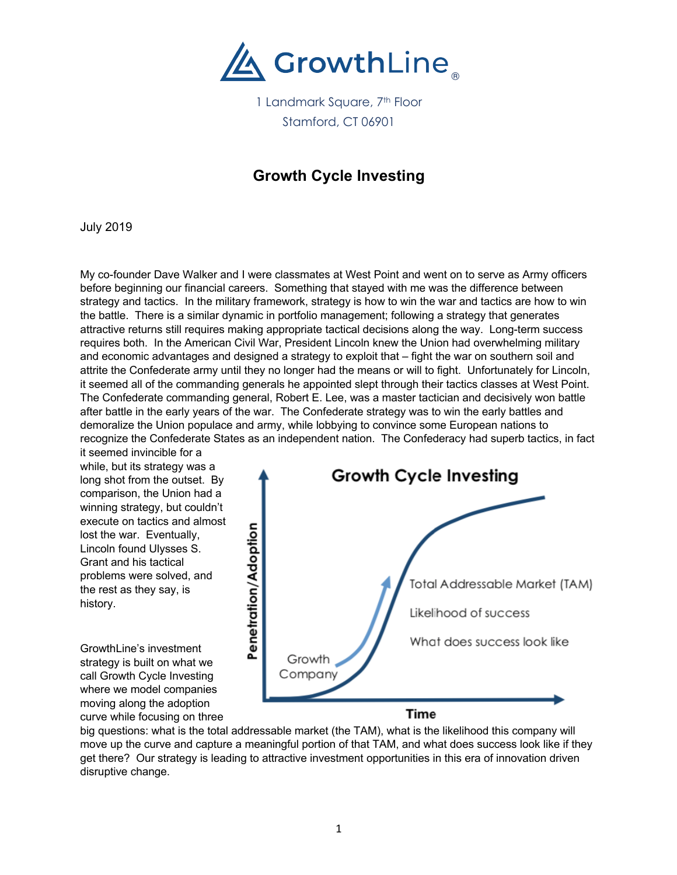

1 Landmark Square, 7<sup>th</sup> Floor Stamford, CT 06901

## **Growth Cycle Investing**

July 2019

My co-founder Dave Walker and I were classmates at West Point and went on to serve as Army officers before beginning our financial careers. Something that stayed with me was the difference between strategy and tactics. In the military framework, strategy is how to win the war and tactics are how to win the battle. There is a similar dynamic in portfolio management; following a strategy that generates attractive returns still requires making appropriate tactical decisions along the way. Long-term success requires both. In the American Civil War, President Lincoln knew the Union had overwhelming military and economic advantages and designed a strategy to exploit that – fight the war on southern soil and attrite the Confederate army until they no longer had the means or will to fight. Unfortunately for Lincoln, it seemed all of the commanding generals he appointed slept through their tactics classes at West Point. The Confederate commanding general, Robert E. Lee, was a master tactician and decisively won battle after battle in the early years of the war. The Confederate strategy was to win the early battles and demoralize the Union populace and army, while lobbying to convince some European nations to recognize the Confederate States as an independent nation. The Confederacy had superb tactics, in fact

it seemed invincible for a while, but its strategy was a long shot from the outset. By comparison, the Union had a winning strategy, but couldn't execute on tactics and almost lost the war. Eventually, Lincoln found Ulysses S. Grant and his tactical problems were solved, and the rest as they say, is history.

GrowthLine's investment strategy is built on what we call Growth Cycle Investing where we model companies moving along the adoption curve while focusing on three



big questions: what is the total addressable market (the TAM), what is the likelihood this company will move up the curve and capture a meaningful portion of that TAM, and what does success look like if they get there? Our strategy is leading to attractive investment opportunities in this era of innovation driven disruptive change.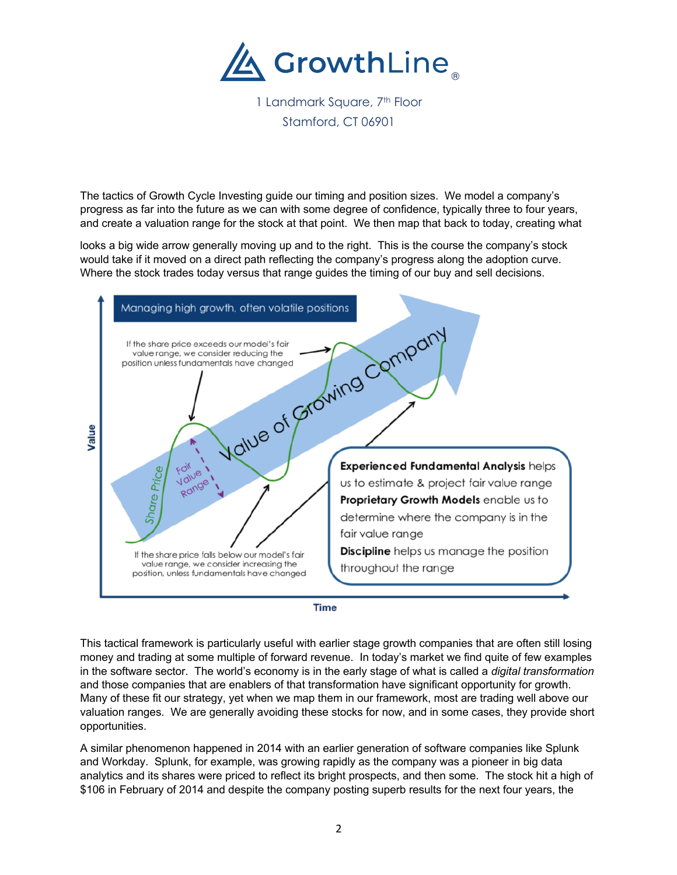

1 Landmark Square, 7<sup>th</sup> Floor Stamford, CT 06901

The tactics of Growth Cycle Investing guide our timing and position sizes. We model a company's progress as far into the future as we can with some degree of confidence, typically three to four years, and create a valuation range for the stock at that point. We then map that back to today, creating what

looks a big wide arrow generally moving up and to the right. This is the course the company's stock would take if it moved on a direct path reflecting the company's progress along the adoption curve. Where the stock trades today versus that range guides the timing of our buy and sell decisions.





This tactical framework is particularly useful with earlier stage growth companies that are often still losing money and trading at some multiple of forward revenue. In today's market we find quite of few examples in the software sector. The world's economy is in the early stage of what is called a *digital transformation* and those companies that are enablers of that transformation have significant opportunity for growth. Many of these fit our strategy, yet when we map them in our framework, most are trading well above our valuation ranges. We are generally avoiding these stocks for now, and in some cases, they provide short opportunities.

A similar phenomenon happened in 2014 with an earlier generation of software companies like Splunk and Workday. Splunk, for example, was growing rapidly as the company was a pioneer in big data analytics and its shares were priced to reflect its bright prospects, and then some. The stock hit a high of \$106 in February of 2014 and despite the company posting superb results for the next four years, the